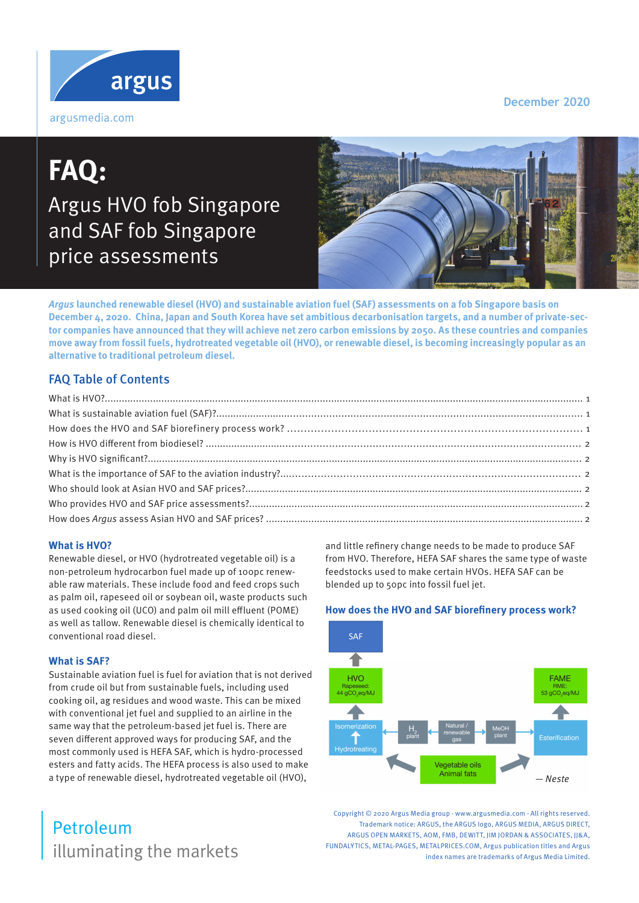#### **December 2020**



# **FAQ:**  Argus HVO fob Singapore and SAF fob Singapore price assessments



**Argus launched renewable diesel (HVO) and sustainable aviation fuel (SAF) assessments on a fob Singapore basis on December 4, 2020. China, Japan and South Korea have set ambitious decarbonisation targets, and a number of private-sector companies have announced that they will achieve net zero carbon emissions by 2050. As these countries and companies move away from fossil fuels, hydrotreated vegetable oil (HVO), or renewable diesel, is becoming increasingly popular as an alternative to traditional petroleum diesel.**

### FAQ Table of Contents

#### **What is HVO?**

Renewable diesel, or HVO (hydrotreated vegetable oil) is a non-petroleum hydrocarbon fuel made up of 100pc renewable raw materials. These include food and feed crops such as palm oil, rapeseed oil or soybean oil, waste products such as used cooking oil (UCO) and palm oil mill effluent (POME) as well as tallow. Renewable diesel is chemically identical to conventional road diesel.

#### **What is SAF?**

Sustainable aviation fuel is fuel for aviation that is not derived from crude oil but from sustainable fuels, including used cooking oil, ag residues and wood waste. This can be mixed with conventional jet fuel and supplied to an airline in the same way that the petroleum-based jet fuel is. There are seven different approved ways for producing SAF, and the most commonly used is HEFA SAF, which is hydro-processed esters and fatty acids. The HEFA process is also used to make a type of renewable diesel, hydrotreated vegetable oil (HVO),

## illuminating the markets Petroleum

and little refinery change needs to be made to produce SAF from HVO. Therefore, HEFA SAF shares the same type of waste feedstocks used to make certain HVOs. HEFA SAF can be blended up to 50pc into fossil fuel jet.

#### **How does the HVO and SAF biorefinery process work?**



Copyright © 2020 Argus Media group - www.argusmedia.com - All rights reserved. Trademark notice: ARGUS, the ARGUS logo, ARGUS MEDIA, ARGUS DIRECT, ARGUS OPEN MARKETS, AOM, FMB, DEWITT, IIM JORDAN & ASSOCIATES, II&A, FUNDALYTICS, METAL-PAGES, METALPRICES.COM, Argus publication titles and Argus index names are trademarks of Argus Media Limited.